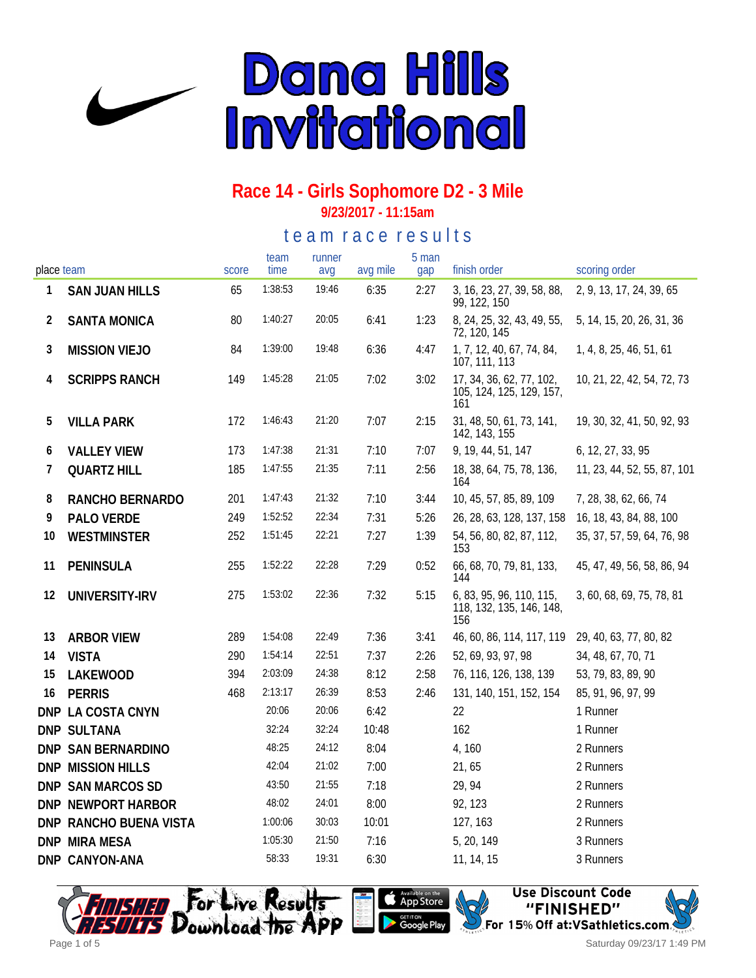

**9/23/2017 - 11:15am**

te a m r a c e r e s ults

| place team |                        | score | team<br>time | runner<br>avg | avg mile | 5 man<br>gap | finish order                                                | scoring order               |
|------------|------------------------|-------|--------------|---------------|----------|--------------|-------------------------------------------------------------|-----------------------------|
| 1          | <b>SAN JUAN HILLS</b>  | 65    | 1:38:53      | 19:46         | 6:35     | 2:27         | 3, 16, 23, 27, 39, 58, 88,                                  | 2, 9, 13, 17, 24, 39, 65    |
| 2          | <b>SANTA MONICA</b>    | 80    | 1:40:27      | 20:05         | 6:41     | 1:23         | 99, 122, 150<br>8, 24, 25, 32, 43, 49, 55,<br>72, 120, 145  | 5, 14, 15, 20, 26, 31, 36   |
| 3          | <b>MISSION VIEJO</b>   | 84    | 1:39:00      | 19:48         | 6:36     | 4:47         | 1, 7, 12, 40, 67, 74, 84,<br>107, 111, 113                  | 1, 4, 8, 25, 46, 51, 61     |
| 4          | <b>SCRIPPS RANCH</b>   | 149   | 1:45:28      | 21:05         | 7:02     | 3:02         | 17, 34, 36, 62, 77, 102,<br>105, 124, 125, 129, 157,<br>161 | 10, 21, 22, 42, 54, 72, 73  |
| 5          | <b>VILLA PARK</b>      | 172   | 1:46:43      | 21:20         | 7:07     | 2:15         | 31, 48, 50, 61, 73, 141,<br>142, 143, 155                   | 19, 30, 32, 41, 50, 92, 93  |
| 6          | <b>VALLEY VIEW</b>     | 173   | 1:47:38      | 21:31         | 7:10     | 7:07         | 9, 19, 44, 51, 147                                          | 6, 12, 27, 33, 95           |
| 7          | <b>QUARTZ HILL</b>     | 185   | 1:47:55      | 21:35         | 7:11     | 2:56         | 18, 38, 64, 75, 78, 136,<br>164                             | 11, 23, 44, 52, 55, 87, 101 |
| 8          | RANCHO BERNARDO        | 201   | 1:47:43      | 21:32         | 7:10     | 3:44         | 10, 45, 57, 85, 89, 109                                     | 7, 28, 38, 62, 66, 74       |
| 9          | PALO VERDE             | 249   | 1:52:52      | 22:34         | 7:31     | 5:26         | 26, 28, 63, 128, 137, 158                                   | 16, 18, 43, 84, 88, 100     |
| 10         | <b>WESTMINSTER</b>     | 252   | 1:51:45      | 22:21         | 7:27     | 1:39         | 54, 56, 80, 82, 87, 112,<br>153                             | 35, 37, 57, 59, 64, 76, 98  |
| 11         | PENINSULA              | 255   | 1:52:22      | 22:28         | 7:29     | 0:52         | 66, 68, 70, 79, 81, 133,<br>144                             | 45, 47, 49, 56, 58, 86, 94  |
| 12         | UNIVERSITY-IRV         | 275   | 1:53:02      | 22:36         | 7:32     | 5:15         | 6, 83, 95, 96, 110, 115,<br>118, 132, 135, 146, 148,<br>156 | 3, 60, 68, 69, 75, 78, 81   |
| 13         | <b>ARBOR VIEW</b>      | 289   | 1:54:08      | 22:49         | 7:36     | 3:41         | 46, 60, 86, 114, 117, 119                                   | 29, 40, 63, 77, 80, 82      |
| 14         | <b>VISTA</b>           | 290   | 1:54:14      | 22:51         | 7:37     | 2:26         | 52, 69, 93, 97, 98                                          | 34, 48, 67, 70, 71          |
| 15         | LAKEWOOD               | 394   | 2:03:09      | 24:38         | 8:12     | 2:58         | 76, 116, 126, 138, 139                                      | 53, 79, 83, 89, 90          |
| 16         | <b>PERRIS</b>          | 468   | 2:13:17      | 26:39         | 8:53     | 2:46         | 131, 140, 151, 152, 154                                     | 85, 91, 96, 97, 99          |
|            | DNP LA COSTA CNYN      |       | 20:06        | 20:06         | 6:42     |              | 22                                                          | 1 Runner                    |
|            | DNP SULTANA            |       | 32:24        | 32:24         | 10:48    |              | 162                                                         | 1 Runner                    |
|            | DNP SAN BERNARDINO     |       | 48:25        | 24:12         | 8:04     |              | 4,160                                                       | 2 Runners                   |
|            | DNP MISSION HILLS      |       | 42:04        | 21:02         | 7:00     |              | 21,65                                                       | 2 Runners                   |
|            | DNP SAN MARCOS SD      |       | 43:50        | 21:55         | 7:18     |              | 29, 94                                                      | 2 Runners                   |
|            | DNP NEWPORT HARBOR     |       | 48:02        | 24:01         | 8:00     |              | 92, 123                                                     | 2 Runners                   |
|            | DNP RANCHO BUENA VISTA |       | 1:00:06      | 30:03         | 10:01    |              | 127, 163                                                    | 2 Runners                   |
|            | <b>DNP MIRA MESA</b>   |       | 1:05:30      | 21:50         | 7:16     |              | 5, 20, 149                                                  | 3 Runners                   |
|            | DNP CANYON-ANA         |       | 58:33        | 19:31         | 6:30     |              | 11, 14, 15                                                  | 3 Runners                   |





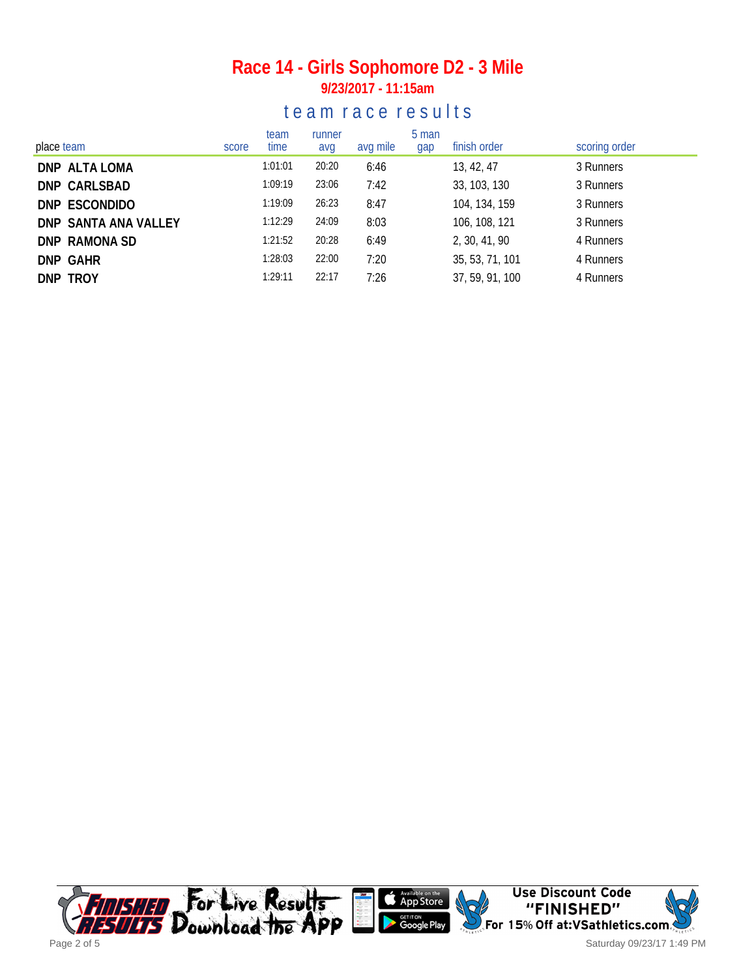#### **Race 14 - Girls Sophomore D2 - 3 Mile 9/23/2017 - 11:15am**

|  |  |  |  | team race results |  |  |  |  |  |  |  |  |  |  |
|--|--|--|--|-------------------|--|--|--|--|--|--|--|--|--|--|
|--|--|--|--|-------------------|--|--|--|--|--|--|--|--|--|--|

| place team           | score | team<br>time | runner<br>avg | avg mile | 5 man<br>gap | finish order    | scoring order |
|----------------------|-------|--------------|---------------|----------|--------------|-----------------|---------------|
| DNP ALTA LOMA        |       | 1:01:01      | 20:20         | 6:46     |              | 13, 42, 47      | 3 Runners     |
| DNP CARLSBAD         |       | 1:09:19      | 23:06         | 7:42     |              | 33, 103, 130    | 3 Runners     |
| DNP ESCONDIDO        |       | 1:19:09      | 26:23         | 8:47     |              | 104, 134, 159   | 3 Runners     |
| DNP SANTA ANA VALLEY |       | 1:12:29      | 24:09         | 8:03     |              | 106, 108, 121   | 3 Runners     |
| DNP RAMONA SD        |       | 1:21:52      | 20:28         | 6:49     |              | 2, 30, 41, 90   | 4 Runners     |
| <b>DNP GAHR</b>      |       | 1:28:03      | 22:00         | 7:20     |              | 35, 53, 71, 101 | 4 Runners     |
| DNP TROY             |       | 1:29:11      | 22:17         | 7:26     |              | 37, 59, 91, 100 | 4 Runners     |

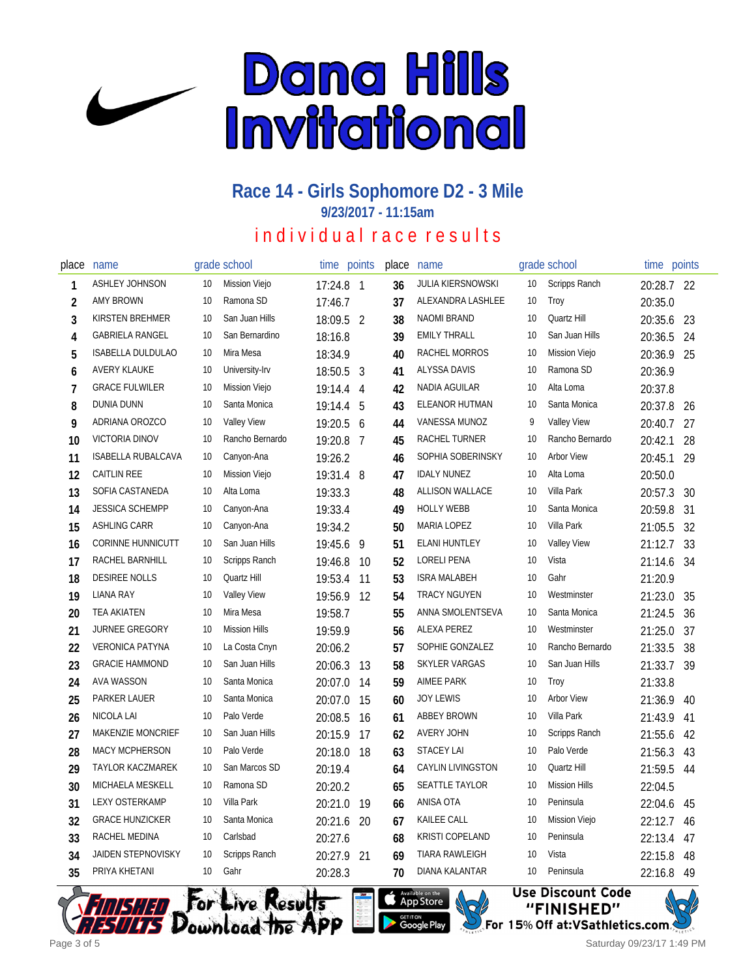

**9/23/2017 - 11:15am**

## in dividual race results

| place          | name                      |    | grade school         | time      | points         | place | name                     |    | grade school         | time points |    |
|----------------|---------------------------|----|----------------------|-----------|----------------|-------|--------------------------|----|----------------------|-------------|----|
| 1              | <b>ASHLEY JOHNSON</b>     | 10 | Mission Viejo        | 17:24.8 1 |                | 36    | <b>JULIA KIERSNOWSKI</b> | 10 | Scripps Ranch        | 20:28.7 22  |    |
| $\overline{2}$ | <b>AMY BROWN</b>          | 10 | Ramona SD            | 17:46.7   |                | 37    | ALEXANDRA LASHLEE        | 10 | Troy                 | 20:35.0     |    |
| 3              | KIRSTEN BREHMER           | 10 | San Juan Hills       | 18:09.5 2 |                | 38    | <b>NAOMI BRAND</b>       | 10 | Quartz Hill          | 20:35.6     | 23 |
| 4              | <b>GABRIELA RANGEL</b>    | 10 | San Bernardino       | 18:16.8   |                | 39    | <b>EMILY THRALL</b>      | 10 | San Juan Hills       | 20:36.5     | 24 |
| 5              | <b>ISABELLA DULDULAO</b>  | 10 | Mira Mesa            | 18:34.9   |                | 40    | RACHEL MORROS            | 10 | <b>Mission Viejo</b> | 20:36.9     | 25 |
| 6              | <b>AVERY KLAUKE</b>       | 10 | University-Irv       | 18:50.5   | $\mathbf{3}$   | 41    | <b>ALYSSA DAVIS</b>      | 10 | Ramona SD            | 20:36.9     |    |
| 7              | <b>GRACE FULWILER</b>     | 10 | Mission Viejo        | 19:14.4   | 4              | 42    | NADIA AGUILAR            | 10 | Alta Loma            | 20:37.8     |    |
| 8              | DUNIA DUNN                | 10 | Santa Monica         | 19:14.4   | 5              | 43    | ELEANOR HUTMAN           | 10 | Santa Monica         | 20:37.8     | 26 |
| 9              | ADRIANA OROZCO            | 10 | <b>Valley View</b>   | 19:20.5   | 6              | 44    | VANESSA MUNOZ            | 9  | <b>Valley View</b>   | 20:40.7     | 27 |
| 10             | <b>VICTORIA DINOV</b>     | 10 | Rancho Bernardo      | 19:20.8   | $\overline{7}$ | 45    | RACHEL TURNER            | 10 | Rancho Bernardo      | 20:42.1     | 28 |
| 11             | ISABELLA RUBALCAVA        | 10 | Canyon-Ana           | 19:26.2   |                | 46    | SOPHIA SOBERINSKY        | 10 | <b>Arbor View</b>    | 20:45.1     | 29 |
| 12             | <b>CAITLIN REE</b>        | 10 | <b>Mission Viejo</b> | 19:31.4 8 |                | 47    | <b>IDALY NUNEZ</b>       | 10 | Alta Loma            | 20:50.0     |    |
| 13             | SOFIA CASTANEDA           | 10 | Alta Loma            | 19:33.3   |                | 48    | <b>ALLISON WALLACE</b>   | 10 | Villa Park           | 20:57.3     | 30 |
| 14             | <b>JESSICA SCHEMPP</b>    | 10 | Canyon-Ana           | 19:33.4   |                | 49    | <b>HOLLY WEBB</b>        | 10 | Santa Monica         | 20:59.8     | 31 |
| 15             | <b>ASHLING CARR</b>       | 10 | Canyon-Ana           | 19:34.2   |                | 50    | <b>MARIA LOPEZ</b>       | 10 | Villa Park           | 21:05.5     | 32 |
| 16             | <b>CORINNE HUNNICUTT</b>  | 10 | San Juan Hills       | 19:45.6   | 9              | 51    | <b>ELANI HUNTLEY</b>     | 10 | <b>Valley View</b>   | 21:12.7     | 33 |
| 17             | RACHEL BARNHILL           | 10 | Scripps Ranch        | 19:46.8   | 10             | 52    | <b>LORELI PENA</b>       | 10 | Vista                | 21:14.6     | 34 |
| 18             | <b>DESIREE NOLLS</b>      | 10 | Quartz Hill          | 19:53.4   | 11             | 53    | <b>ISRA MALABEH</b>      | 10 | Gahr                 | 21:20.9     |    |
| 19             | <b>LIANA RAY</b>          | 10 | <b>Valley View</b>   | 19:56.9   | 12             | 54    | <b>TRACY NGUYEN</b>      | 10 | Westminster          | 21:23.0     | 35 |
| 20             | <b>TEA AKIATEN</b>        | 10 | Mira Mesa            | 19:58.7   |                | 55    | ANNA SMOLENTSEVA         | 10 | Santa Monica         | 21:24.5     | 36 |
| 21             | <b>JURNEE GREGORY</b>     | 10 | <b>Mission Hills</b> | 19:59.9   |                | 56    | ALEXA PEREZ              | 10 | Westminster          | 21:25.0     | 37 |
| 22             | <b>VERONICA PATYNA</b>    | 10 | La Costa Cnyn        | 20:06.2   |                | 57    | SOPHIE GONZALEZ          | 10 | Rancho Bernardo      | 21:33.5     | 38 |
| 23             | <b>GRACIE HAMMOND</b>     | 10 | San Juan Hills       | 20:06.3   | 13             | 58    | <b>SKYLER VARGAS</b>     | 10 | San Juan Hills       | 21:33.7     | 39 |
| 24             | <b>AVA WASSON</b>         | 10 | Santa Monica         | 20:07.0   | 14             | 59    | <b>AIMEE PARK</b>        | 10 | Troy                 | 21:33.8     |    |
| 25             | PARKER LAUER              | 10 | Santa Monica         | 20:07.0   | 15             | 60    | <b>JOY LEWIS</b>         | 10 | <b>Arbor View</b>    | 21:36.9     | 40 |
| 26             | NICOLA LAI                | 10 | Palo Verde           | 20:08.5   | 16             | 61    | <b>ABBEY BROWN</b>       | 10 | Villa Park           | 21:43.9     | 41 |
| 27             | <b>MAKENZIE MONCRIEF</b>  | 10 | San Juan Hills       | 20:15.9   | 17             | 62    | AVERY JOHN               | 10 | Scripps Ranch        | 21:55.6     | 42 |
| 28             | <b>MACY MCPHERSON</b>     | 10 | Palo Verde           | 20:18.0   | 18             | 63    | <b>STACEY LAI</b>        | 10 | Palo Verde           | 21:56.3     | 43 |
| 29             | <b>TAYLOR KACZMAREK</b>   | 10 | San Marcos SD        | 20:19.4   |                | 64    | <b>CAYLIN LIVINGSTON</b> | 10 | Quartz Hill          | 21:59.5     | 44 |
| 30             | <b>MICHAELA MESKELL</b>   | 10 | Ramona SD            | 20:20.2   |                | 65    | <b>SEATTLE TAYLOR</b>    | 10 | <b>Mission Hills</b> | 22:04.5     |    |
| 31             | <b>LEXY OSTERKAMP</b>     | 10 | Villa Park           | 20:21.0   | 19             | 66    | ANISA OTA                | 10 | Peninsula            | 22:04.6     | 45 |
| 32             | <b>GRACE HUNZICKER</b>    | 10 | Santa Monica         | 20:21.6   | 20             | 67    | KAILEE CALL              | 10 | <b>Mission Viejo</b> | 22:12.7     | 46 |
| 33             | RACHEL MEDINA             | 10 | Carlsbad             | 20:27.6   |                | 68    | <b>KRISTI COPELAND</b>   | 10 | Peninsula            | 22:13.4     | 47 |
| 34             | <b>JAIDEN STEPNOVISKY</b> | 10 | Scripps Ranch        | 20:27.9   | 21             | 69    | TIARA RAWLEIGH           | 10 | Vista                | 22:15.8     | 48 |
| 35             | PRIYA KHETANI             | 10 | Gahr                 | 20:28.3   |                | 70    | DIANA KALANTAR           | 10 | Peninsula            | 22:16.8     | 49 |





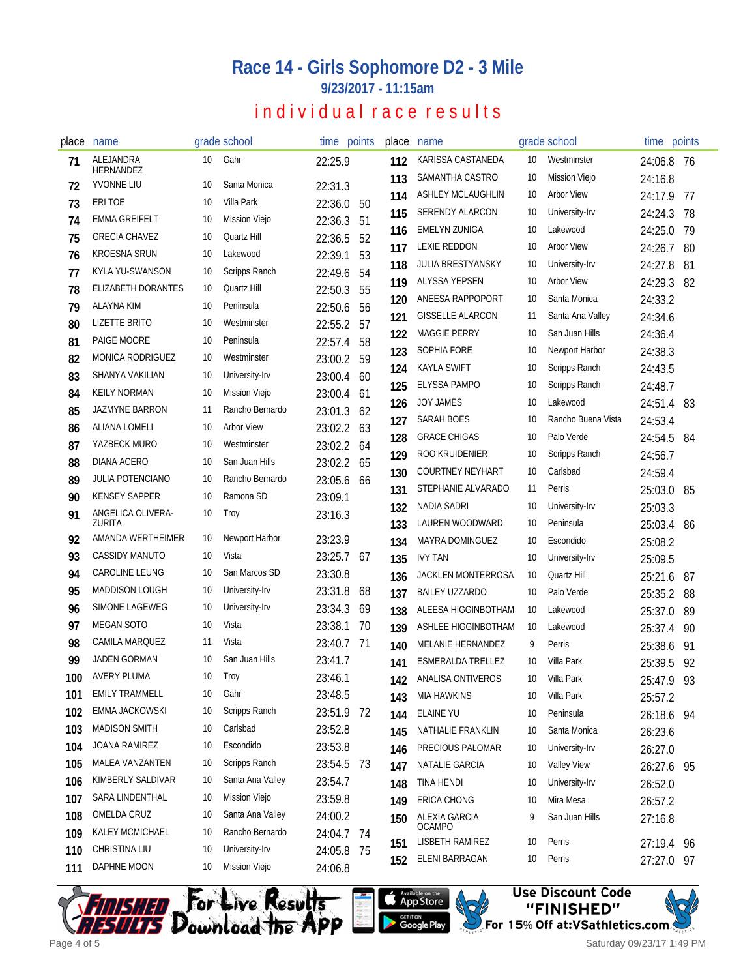**9/23/2017 - 11:15am**

### individual race results

| place | name                        |    | grade school      |            | time points | place      | name                                  |          | grade school                | time points        |      |
|-------|-----------------------------|----|-------------------|------------|-------------|------------|---------------------------------------|----------|-----------------------------|--------------------|------|
| 71    | ALEJANDRA<br>HERNANDEZ      | 10 | Gahr              | 22:25.9    |             | 112        | KARISSA CASTANEDA                     | 10       | Westminster                 | 24:06.8            | - 76 |
| 72    | YVONNE LIU                  | 10 | Santa Monica      | 22:31.3    |             | 113        | SAMANTHA CASTRO                       | 10       | <b>Mission Viejo</b>        | 24:16.8            |      |
| 73    | ERI TOE                     | 10 | Villa Park        | 22:36.0    | 50          | 114        | ASHLEY MCLAUGHLIN                     | 10       | <b>Arbor View</b>           | 24:17.9            | 77   |
| 74    | <b>EMMA GREIFELT</b>        | 10 | Mission Viejo     | 22:36.3    | 51          | 115        | <b>SERENDY ALARCON</b>                | 10       | University-Irv              | 24:24.3            | 78   |
| 75    | <b>GRECIA CHAVEZ</b>        | 10 | Quartz Hill       | 22:36.5    | 52          | 116        | <b>EMELYN ZUNIGA</b>                  | 10       | Lakewood                    | 24:25.0            | 79   |
| 76    | <b>KROESNA SRUN</b>         | 10 | Lakewood          | 22:39.1    | 53          | 117        | <b>LEXIE REDDON</b>                   | 10       | <b>Arbor View</b>           | 24:26.7            | 80   |
| 77    | KYLA YU-SWANSON             | 10 | Scripps Ranch     | 22:49.6    | 54          | 118        | JULIA BRESTYANSKY                     | 10       | University-Irv              | 24:27.8            | 81   |
| 78    | <b>ELIZABETH DORANTES</b>   | 10 | Quartz Hill       | 22:50.3    | 55          | 119        | ALYSSA YEPSEN                         | 10       | <b>Arbor View</b>           | 24:29.3            | 82   |
| 79    | <b>ALAYNA KIM</b>           | 10 | Peninsula         | 22:50.6    | 56          | 120        | ANEESA RAPPOPORT                      | 10       | Santa Monica                | 24:33.2            |      |
| 80    | <b>LIZETTE BRITO</b>        | 10 | Westminster       | 22:55.2    | 57          | 121        | <b>GISSELLE ALARCON</b>               | 11       | Santa Ana Valley            | 24:34.6            |      |
| 81    | PAIGE MOORE                 | 10 | Peninsula         | 22:57.4    | 58          | 122        | <b>MAGGIE PERRY</b>                   | 10       | San Juan Hills              | 24:36.4            |      |
| 82    | <b>MONICA RODRIGUEZ</b>     | 10 | Westminster       | 23:00.2    | 59          | 123        | SOPHIA FORE                           | 10       | Newport Harbor              | 24:38.3            |      |
| 83    | SHANYA VAKILIAN             | 10 | University-Irv    | 23:00.4    | 60          | 124        | <b>KAYLA SWIFT</b>                    | 10       | Scripps Ranch               | 24:43.5            |      |
| 84    | <b>KEILY NORMAN</b>         | 10 | Mission Viejo     | 23:00.4    | 61          | 125        | <b>ELYSSA PAMPO</b>                   | 10       | Scripps Ranch               | 24:48.7            |      |
| 85    | <b>JAZMYNE BARRON</b>       | 11 | Rancho Bernardo   | 23:01.3    | 62          | 126        | JOY JAMES                             | 10       | Lakewood                    | 24:51.4            | 83   |
| 86    | ALIANA LOMELI               | 10 | <b>Arbor View</b> | 23:02.2    | 63          | 127        | SARAH BOES                            | 10       | Rancho Buena Vista          | 24:53.4            |      |
| 87    | YAZBECK MURO                | 10 | Westminster       | 23:02.2 64 |             | 128        | <b>GRACE CHIGAS</b>                   | 10       | Palo Verde                  | 24:54.5            | 84   |
| 88    | DIANA ACERO                 | 10 | San Juan Hills    | 23:02.2    | 65          | 129        | ROO KRUIDENIER                        | 10       | Scripps Ranch               | 24:56.7            |      |
| 89    | JULIA POTENCIANO            | 10 | Rancho Bernardo   | 23:05.6    | 66          | 130        | <b>COURTNEY NEYHART</b>               | 10       | Carlsbad                    | 24:59.4            |      |
| 90    | <b>KENSEY SAPPER</b>        | 10 | Ramona SD         | 23:09.1    |             | 131        | STEPHANIE ALVARADO                    | 11       | Perris                      | 25:03.0            | 85   |
| 91    | ANGELICA OLIVERA-<br>ZURITA | 10 | Troy              | 23:16.3    |             | 132<br>133 | <b>NADIA SADRI</b><br>LAUREN WOODWARD | 10<br>10 | University-Irv<br>Peninsula | 25:03.3<br>25:03.4 | -86  |
| 92    | AMANDA WERTHEIMER           | 10 | Newport Harbor    | 23:23.9    |             | 134        | MAYRA DOMINGUEZ                       | 10       | Escondido                   | 25:08.2            |      |
| 93    | <b>CASSIDY MANUTO</b>       | 10 | Vista             | 23:25.7    | -67         | 135        | <b>IVY TAN</b>                        | 10       | University-Irv              | 25:09.5            |      |
| 94    | CAROLINE LEUNG              | 10 | San Marcos SD     | 23:30.8    |             | 136        | JACKLEN MONTERROSA                    | 10       | Quartz Hill                 | 25:21.6            | 87   |
| 95    | <b>MADDISON LOUGH</b>       | 10 | University-Irv    | 23:31.8    | 68          | 137        | <b>BAILEY UZZARDO</b>                 | 10       | Palo Verde                  | 25:35.2            | 88   |
| 96    | <b>SIMONE LAGEWEG</b>       | 10 | University-Irv    | 23:34.3    | 69          | 138        | ALEESA HIGGINBOTHAM                   | 10       | Lakewood                    | 25:37.0            | 89   |
| 97    | <b>MEGAN SOTO</b>           | 10 | Vista             | 23:38.1    | 70          | 139        | ASHLEE HIGGINBOTHAM                   | 10       | Lakewood                    | 25:37.4            | 90   |
| 98    | CAMILA MARQUEZ              | 11 | Vista             | 23:40.7    | 71          | 140        | MELANIE HERNANDEZ                     | 9        | Perris                      | 25:38.6            | 91   |
| 99    | <b>JADEN GORMAN</b>         | 10 | San Juan Hills    | 23:41.7    |             | 141        | <b>ESMERALDA TRELLEZ</b>              | 10       | Villa Park                  | 25:39.5            | 92   |
| 100   | <b>AVERY PLUMA</b>          | 10 | Troy              | 23:46.1    |             | 142        | ANALISA ONTIVEROS                     | 10       | Villa Park                  | 25:47.9            | 93   |
| 101   | <b>EMILY TRAMMELL</b>       | 10 | Gahr              | 23:48.5    |             | 143        | <b>MIA HAWKINS</b>                    | 10       | Villa Park                  | 25:57.2            |      |
| 102   | EMMA JACKOWSKI              | 10 | Scripps Ranch     | 23:51.9 72 |             | 144        | <b>ELAINE YU</b>                      | 10       | Peninsula                   | 26:18.6            | -94  |
| 103   | <b>MADISON SMITH</b>        | 10 | Carlsbad          | 23:52.8    |             | 145        | NATHALIE FRANKLIN                     | 10       | Santa Monica                | 26:23.6            |      |
| 104   | JOANA RAMIREZ               | 10 | Escondido         | 23:53.8    |             | 146        | PRECIOUS PALOMAR                      | 10       | University-Irv              | 26:27.0            |      |
| 105   | MALEA VANZANTEN             | 10 | Scripps Ranch     | 23:54.5 73 |             | 147        | NATALIE GARCIA                        | 10       | <b>Valley View</b>          | 26:27.6 95         |      |
| 106   | KIMBERLY SALDIVAR           | 10 | Santa Ana Valley  | 23:54.7    |             | 148        | <b>TINA HENDI</b>                     | 10       | University-Irv              | 26:52.0            |      |
| 107   | SARA LINDENTHAL             | 10 | Mission Viejo     | 23:59.8    |             | 149        | ERICA CHONG                           | 10       | Mira Mesa                   | 26:57.2            |      |
| 108   | OMELDA CRUZ                 | 10 | Santa Ana Valley  | 24:00.2    |             | 150        | ALEXIA GARCIA                         | 9        | San Juan Hills              | 27:16.8            |      |
| 109   | KALEY MCMICHAEL             | 10 | Rancho Bernardo   | 24:04.7 74 |             |            | <b>OCAMPO</b>                         |          |                             |                    |      |
| 110   | CHRISTINA LIU               | 10 | University-Irv    | 24:05.8 75 |             | 151        | LISBETH RAMIREZ                       | 10       | Perris                      | 27:19.4 96         |      |
| 111   | DAPHNE MOON                 | 10 | Mission Viejo     | 24:06.8    |             | 152        | ELENI BARRAGAN                        | 10       | Perris                      | 27:27.0 97         |      |